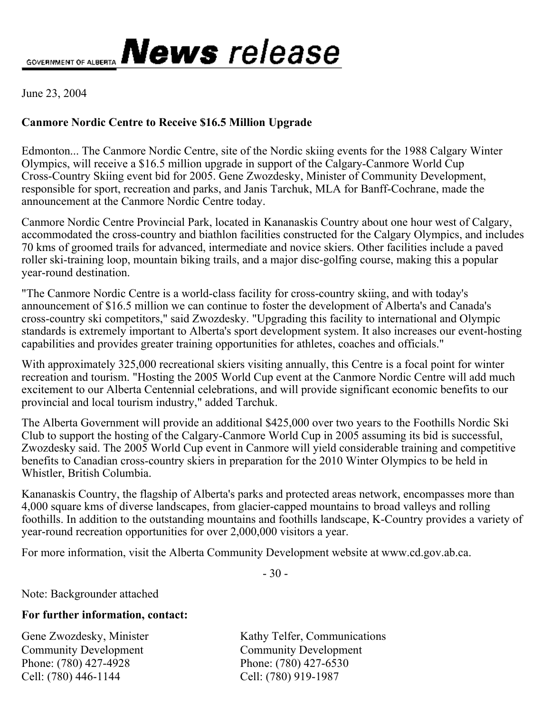GOVERNMENT OF ALBERTA **News** release

June 23, 2004

## **Canmore Nordic Centre to Receive \$16.5 Million Upgrade**

Edmonton... The Canmore Nordic Centre, site of the Nordic skiing events for the 1988 Calgary Winter Olympics, will receive a \$16.5 million upgrade in support of the Calgary-Canmore World Cup Cross-Country Skiing event bid for 2005. Gene Zwozdesky, Minister of Community Development, responsible for sport, recreation and parks, and Janis Tarchuk, MLA for Banff-Cochrane, made the announcement at the Canmore Nordic Centre today.

Canmore Nordic Centre Provincial Park, located in Kananaskis Country about one hour west of Calgary, accommodated the cross-country and biathlon facilities constructed for the Calgary Olympics, and includes 70 kms of groomed trails for advanced, intermediate and novice skiers. Other facilities include a paved roller ski-training loop, mountain biking trails, and a major disc-golfing course, making this a popular year-round destination.

"The Canmore Nordic Centre is a world-class facility for cross-country skiing, and with today's announcement of \$16.5 million we can continue to foster the development of Alberta's and Canada's cross-country ski competitors," said Zwozdesky. "Upgrading this facility to international and Olympic standards is extremely important to Alberta's sport development system. It also increases our event-hosting capabilities and provides greater training opportunities for athletes, coaches and officials."

With approximately 325,000 recreational skiers visiting annually, this Centre is a focal point for winter recreation and tourism. "Hosting the 2005 World Cup event at the Canmore Nordic Centre will add much excitement to our Alberta Centennial celebrations, and will provide significant economic benefits to our provincial and local tourism industry," added Tarchuk.

The Alberta Government will provide an additional \$425,000 over two years to the Foothills Nordic Ski Club to support the hosting of the Calgary-Canmore World Cup in 2005 assuming its bid is successful, Zwozdesky said. The 2005 World Cup event in Canmore will yield considerable training and competitive benefits to Canadian cross-country skiers in preparation for the 2010 Winter Olympics to be held in Whistler, British Columbia.

Kananaskis Country, the flagship of Alberta's parks and protected areas network, encompasses more than 4,000 square kms of diverse landscapes, from glacier-capped mountains to broad valleys and rolling foothills. In addition to the outstanding mountains and foothills landscape, K-Country provides a variety of year-round recreation opportunities for over 2,000,000 visitors a year.

For more information, visit the Alberta Community Development website at www.cd.gov.ab.ca.

- 30 -

Note: Backgrounder attached

## **For further information, contact:**

Community Development Community Development Phone: (780) 427-4928 Phone: (780) 427-6530 Cell: (780) 446-1144 Cell: (780) 919-1987

Gene Zwozdesky, Minister Kathy Telfer, Communications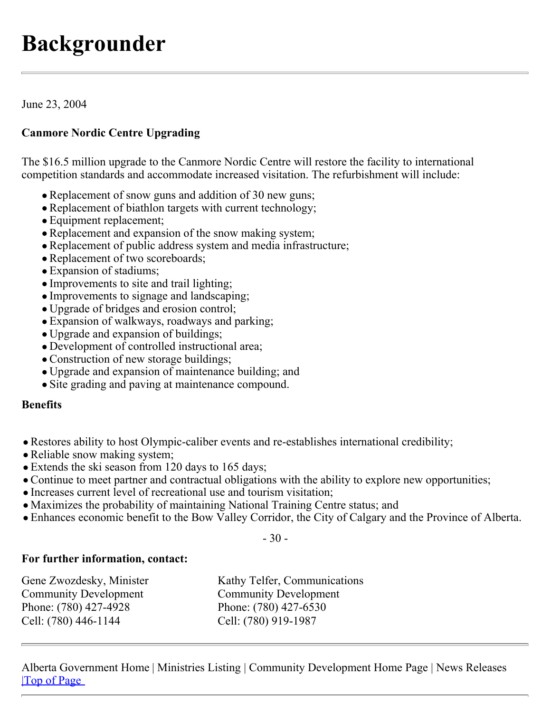# **Backgrounder**

June 23, 2004

## **Canmore Nordic Centre Upgrading**

The \$16.5 million upgrade to the Canmore Nordic Centre will restore the facility to international competition standards and accommodate increased visitation. The refurbishment will include:

- Replacement of snow guns and addition of 30 new guns;
- Replacement of biathlon targets with current technology;
- Equipment replacement;
- Replacement and expansion of the snow making system;
- Replacement of public address system and media infrastructure;
- Replacement of two scoreboards;
- Expansion of stadiums;
- Improvements to site and trail lighting;
- Improvements to signage and landscaping;
- Upgrade of bridges and erosion control;
- Expansion of walkways, roadways and parking;
- Upgrade and expansion of buildings;
- Development of controlled instructional area;
- Construction of new storage buildings;
- Upgrade and expansion of maintenance building; and
- Site grading and paving at maintenance compound.

## **Benefits**

- Restores ability to host Olympic-caliber events and re-establishes international credibility;
- Reliable snow making system;
- Extends the ski season from 120 days to 165 days;
- Continue to meet partner and contractual obligations with the ability to explore new opportunities;
- Increases current level of recreational use and tourism visitation;
- Maximizes the probability of maintaining National Training Centre status; and
- Enhances economic benefit to the Bow Valley Corridor, the City of Calgary and the Province of Alberta.

- 30 -

## **For further information, contact:**

| Gene Zwozdesky, Minister     | Kathy Telfer, Communications |
|------------------------------|------------------------------|
| <b>Community Development</b> | <b>Community Development</b> |
| Phone: (780) 427-4928        | Phone: (780) 427-6530        |
| Cell: (780) 446-1144         | Cell: (780) 919-1987         |

Alberta Government Home | Ministries Listing | Community Development Home Page | News Releases |Top of Page